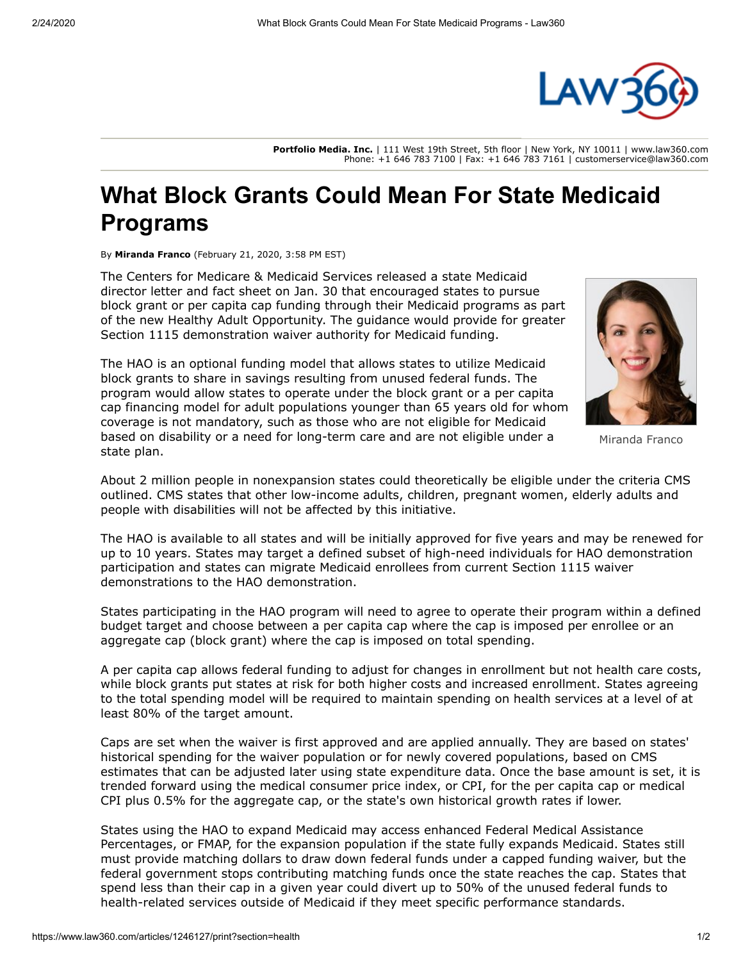

**Portfolio Media. Inc.** | 111 West 19th Street, 5th floor | New York, NY 10011 | www.law360.com Phone: +1 646 783 7100 | Fax: +1 646 783 7161 | customerservice@law360.com

## **What Block Grants Could Mean For State Medicaid Programs**

By **Miranda Franco** (February 21, 2020, 3:58 PM EST)

The [Centers for Medicare & Medicaid Services](https://www.law360.com/agencies/centers-for-medicare-medicaid-services) released a state Medicaid director letter and fact sheet on Jan. 30 that encouraged states to pursue block grant or per capita cap funding through their Medicaid programs as part of the new Healthy Adult Opportunity. The guidance would provide for greater Section 1115 demonstration waiver authority for Medicaid funding.

The HAO is an optional funding model that allows states to utilize Medicaid block grants to share in savings resulting from unused federal funds. The program would allow states to operate under the block grant or a per capita cap financing model for adult populations younger than 65 years old for whom coverage is not mandatory, such as those who are not eligible for Medicaid based on disability or a need for long-term care and are not eligible under a state plan.



Miranda Franco

About 2 million people in nonexpansion states could theoretically be eligible under the criteria CMS outlined. CMS states that other low-income adults, children, pregnant women, elderly adults and people with disabilities will not be affected by this initiative.

The HAO is available to all states and will be initially approved for five years and may be renewed for up to 10 years. States may target a defined subset of high-need individuals for HAO demonstration participation and states can migrate Medicaid enrollees from current Section 1115 waiver demonstrations to the HAO demonstration.

States participating in the HAO program will need to agree to operate their program within a defined budget target and choose between a per capita cap where the cap is imposed per enrollee or an aggregate cap (block grant) where the cap is imposed on total spending.

A per capita cap allows federal funding to adjust for changes in enrollment but not health care costs, while block grants put states at risk for both higher costs and increased enrollment. States agreeing to the total spending model will be required to maintain spending on health services at a level of at least 80% of the target amount.

Caps are set when the waiver is first approved and are applied annually. They are based on states' historical spending for the waiver population or for newly covered populations, based on CMS estimates that can be adjusted later using state expenditure data. Once the base amount is set, it is trended forward using the medical consumer price index, or [CPI](https://www.law360.com/companies/cpi-corporation), for the per capita cap or medical CPI plus 0.5% for the aggregate cap, or the state's own historical growth rates if lower.

States using the HAO to expand Medicaid may access enhanced Federal Medical Assistance Percentages, or FMAP, for the expansion population if the state fully expands Medicaid. States still must provide matching dollars to draw down federal funds under a capped funding waiver, but the federal government stops contributing matching funds once the state reaches the cap. States that spend less than their cap in a given year could divert up to 50% of the unused federal funds to health-related services outside of Medicaid if they meet specific performance standards.